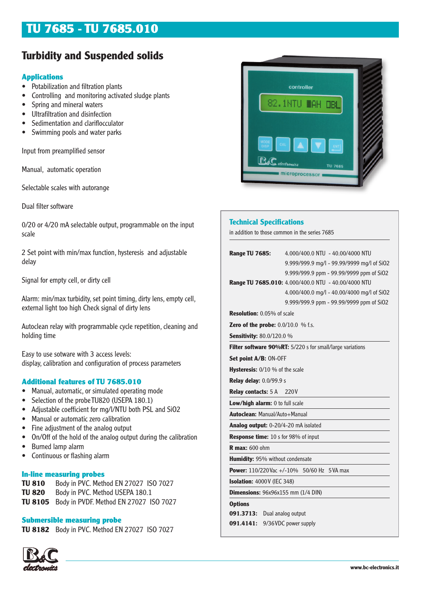# **TU 7685 - TU 7685.010**

## **Turbidity and Suspended solids**

## **Applications**

- Potabilization and filtration plants
- Controlling and monitoring activated sludge plants
- Spring and mineral waters
- Ultrafiltration and disinfection
- Sedimentation and clariflocculator
- Swimming pools and water parks

Input from preamplified sensor

Manual, automatic operation

Selectable scales with autorange

Dual filter software

0/20 or 4/20 mA selectable output, programmable on the input scale

2 Set point with min/max function, hysteresis and adjustable delay

Signal for empty cell, or dirty cell

Alarm: min/max turbidity, set point timing, dirty lens, empty cell, external light too high Check signal of dirty lens

Autoclean relay with programmable cycle repetition, cleaning and holding time

Easy to use sotware with 3 access levels: display, calibration and configuration of process parameters

## **Additional features of TU 7685.010**

- Manual, automatic, or simulated operating mode
- Selection of the probe TU820 (USEPA 180.1)
- Adjustable coefficient for mg/l/NTU both PSL and SiO2
- Manual or automatic zero calibration
- Fine adjustment of the analog output
- On/Off of the hold of the analog output during the calibration
- Burned lamp alarm
- Continuous or flashing alarm

## **In-line measuring probes**

**TU 810** Body in PVC. Method EN 27027 ISO 7027 **TU 820** Body in PVC. Method USEPA 180.1 **TU 8105** Body in PVDF. Method EN 27027 ISO 7027

## **Submersible measuring probe**

**TU 8182** Body in PVC. Method EN 27027 ISO 7027





## **Technical Specifications**

in addition to those common in the series 7685

| <b>Range TU 7685:</b>                         | 4.000/400.0 NTU - 40.00/4000 NTU                          |  |
|-----------------------------------------------|-----------------------------------------------------------|--|
|                                               | 9.999/999.9 mg/l - 99.99/9999 mg/l of SiO2                |  |
|                                               | 9.999/999.9 ppm - 99.99/9999 ppm of SiO2                  |  |
|                                               | Range TU 7685.010: 4.000/400.0 NTU - 40.00/4000 NTU       |  |
|                                               | 4.000/400.0 mg/l - 40.00/4000 mg/l of SiO2                |  |
|                                               | 9.999/999.9 ppm - 99.99/9999 ppm of SiO2                  |  |
| <b>Resolution:</b> 0.05% of scale             |                                                           |  |
| <b>Zero of the probe:</b> $0.0/10.0$ % f.s.   |                                                           |  |
| <b>Sensitivity:</b> 80.0/120.0 %              |                                                           |  |
|                                               | Filter software 90%RT: 5/220 s for small/large variations |  |
| <b>Set point A/B: ON-OFF</b>                  |                                                           |  |
| <b>Hysteresis:</b> 0/10 % of the scale        |                                                           |  |
| <b>Relay delay: 0.0/99.9 s</b>                |                                                           |  |
| <b>Relay contacts:</b> 5 A 220V               |                                                           |  |
| Low/high alarm: 0 to full scale               |                                                           |  |
| <b>Autoclean: Manual/Auto+Manual</b>          |                                                           |  |
| Analog output: 0-20/4-20 mA isolated          |                                                           |  |
| <b>Response time:</b> 10 s for 98% of input   |                                                           |  |
| <b>R</b> max: 600 ohm                         |                                                           |  |
| <b>Humidity: 95% without condensate</b>       |                                                           |  |
|                                               | <b>Power:</b> 110/220 Vac +/-10% 50/60 Hz 5 VA max        |  |
| <b>Isolation: 4000V (IEC 348)</b>             |                                                           |  |
| <b>Dimensions:</b> $96x96x155$ mm $(1/4$ DIN) |                                                           |  |
| <b>Options</b>                                |                                                           |  |
| 091.3713: Dual analog output                  |                                                           |  |
| 091.4141:                                     | 9/36 VDC power supply                                     |  |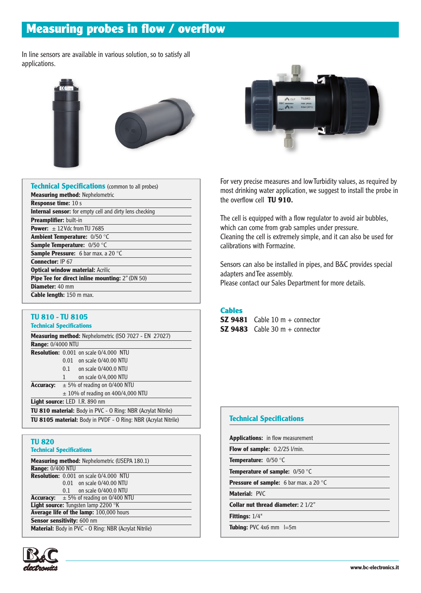# **Measuring probes in flow / overflow**

In line sensors are available in various solution, so to satisfy all applications.



| <b>Technical Specifications</b> (common to all probes)         |
|----------------------------------------------------------------|
| <b>Measuring method: Nephelometric</b>                         |
| <b>Response time: 10 s</b>                                     |
| <b>Internal sensor:</b> for empty cell and dirty lens checking |
| Preamplifier: built-in                                         |
| <b>Power:</b> $+12$ Vdc from TU 7685                           |
| Ambient Temperature: 0/50 °C                                   |
| <b>Sample Temperature:</b> 0/50 °C                             |
| Sample Pressure: 6 bar max. a 20 °C                            |
| <b>Connector: IP 67</b>                                        |
| <b>Optical window material: Acrilic</b>                        |
| Pipe Tee for direct inline mounting: 2" (DN 50)                |
| <b>Diameter: 40 mm</b>                                         |
| <b>Cable length:</b> 150 m max.                                |

## **TU 810 - TU 8105**

**Technical Specifications**

| <b>Measuring method:</b> Nephelometric (ISO 7027 - EN 27027)          |                                  |                                               |  |
|-----------------------------------------------------------------------|----------------------------------|-----------------------------------------------|--|
| <b>Range: 0/4000 NTU</b>                                              |                                  |                                               |  |
|                                                                       |                                  | <b>Resolution:</b> 0.001 on scale 0/4.000 NTU |  |
|                                                                       | 0.01                             | on scale 0/40.00 NTU                          |  |
|                                                                       | 0.1                              | on scale 0/400.0 NTU                          |  |
|                                                                       | $\mathbf{1}$                     | on scale 0/4,000 NTU                          |  |
| <b>Accuracy:</b>                                                      | $\pm$ 5% of reading on 0/400 NTU |                                               |  |
|                                                                       |                                  | $\pm$ 10% of reading on 400/4,000 NTU         |  |
| Light source: LED I.R. 890 nm                                         |                                  |                                               |  |
| <b>TU 810 material:</b> Body in PVC - O Ring: NBR (Acrylat Nitrile)   |                                  |                                               |  |
| <b>TU 8105 material:</b> Body in PVDF - O Ring: NBR (Acrylat Nitrile) |                                  |                                               |  |

#### **TU 820 Technical Specifications**

| <b>Measuring method:</b> Nephelometric (USEPA 180.1)  |  |                                                    |  |  |
|-------------------------------------------------------|--|----------------------------------------------------|--|--|
| <b>Range: 0/400 NTU</b>                               |  |                                                    |  |  |
|                                                       |  | <b>Resolution:</b> 0.001 on scale 0/4.000 NTU      |  |  |
|                                                       |  | 0.01 on scale 0/40.00 NTU                          |  |  |
|                                                       |  | $0.1$ on scale $0/400.0$ NTU                       |  |  |
|                                                       |  | <b>Accuracy:</b> $\pm 5\%$ of reading on 0/400 NTU |  |  |
| Light source: Tungsten lamp 2200 °K                   |  |                                                    |  |  |
| Average life of the lamp: 100,000 hours               |  |                                                    |  |  |
| Sensor sensitivity: 600 nm                            |  |                                                    |  |  |
| Material: Body in PVC - O Ring: NBR (Acrylat Nitrile) |  |                                                    |  |  |





For very precise measures and low Turbidity values, as required by most drinking water application, we suggest to install the probe in the overflow cell **TU 910.**

The cell is equipped with a flow regulator to avoid air bubbles, which can come from grab samples under pressure. Cleaning the cell is extremely simple, and it can also be used for calibrations with Formazine.

Sensors can also be installed in pipes, and B&C provides special adapters and Tee assembly. Please contact our Sales Department for more details.

## **Cables**

**SZ 9481** Cable 10 m + connector **SZ 9483** Cable 30 m + connector

## **Technical Specifications Applications:** in flow measurement **Flow of sample:** 0.2/25 l/min. **Temperature:** 0/50 °C **Temperature of sample:** 0/50 °C **Pressure of sample:** 6 bar max. a 20 °C **Material:** PVC **Collar nut thread diameter:** 2 1/2" **Fittings:** 1/4" **Tubing: PVC 4x6 mm** l=5m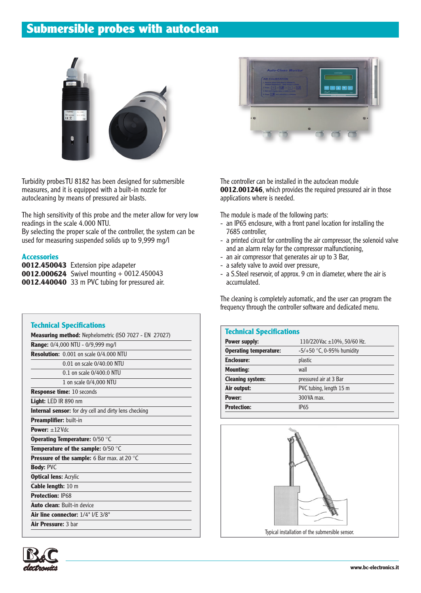# **Submersible probes with autoclean**



Turbidity probes TU 8182 has been designed for submersible measures, and it is equipped with a built-in nozzle for autocleaning by means of pressured air blasts.

The high sensitivity of this probe and the meter allow for very low readings in the scale 4.000 NTU.

By selecting the proper scale of the controller, the system can be used for measuring suspended solids up to 9,999 mg/l

#### **Accessories**

**0012.450043** Extension pipe adapeter **0012.000624** Swivel mounting + 0012.450043 **0012.440040** 33 m PVC tubing for pressured air.

|                               | <b>Measuring method:</b> Nephelometric (ISO 7027 - EN 27027) |
|-------------------------------|--------------------------------------------------------------|
|                               | Range: 0/4,000 NTU - 0/9,999 mg/l                            |
|                               | <b>Resolution:</b> 0.001 on scale 0/4.000 NTU                |
|                               | 0.01 on scale 0/40.00 NTU                                    |
|                               | 0.1 on scale 0/400.0 NTU                                     |
|                               | 1 on scale 0/4,000 NTU                                       |
|                               | <b>Response time: 10 seconds</b>                             |
| <b>Light:</b> LED IR 890 $nm$ |                                                              |
|                               | <b>Internal sensor:</b> for dry cell and dirty lens checking |
| <b>Preamplifier: built-in</b> |                                                              |
| Power: $+12$ Vdc              |                                                              |
|                               | <b>Operating Temperature: 0/50 °C</b>                        |
|                               | <b>Temperature of the sample:</b> $0/50$ $^{\circ}$ C        |
|                               | <b>Pressure of the sample:</b> 6 Bar max. at 20 °C           |
| <b>Body: PVC</b>              |                                                              |
| <b>Optical lens: Acrylic</b>  |                                                              |
| Cable length: 10 m            |                                                              |
| <b>Protection: IP68</b>       |                                                              |
|                               | <b>Auto clean: Built-in device</b>                           |
|                               | Air line connector: $1/4$ " $1/F$ $3/8$ "                    |
| Air Pressure: 3 bar           |                                                              |



The controller can be installed in the autoclean module **0012.001246**, which provides the required pressured air in those applications where is needed.

The module is made of the following parts:

- an IP65 enclosure, with a front panel location for installing the 7685 controller,
- a printed circuit for controlling the air compressor, the solenoid valve and an alarm relay for the compressor malfunctioning,
- an air compressor that generates air up to 3 Bar,
- a safety valve to avoid over pressure,
- a S.Steel reservoir, of approx. 9 cm in diameter, where the air is accumulated.

The cleaning is completely automatic, and the user can program the frequency through the controller software and dedicated menu.

| <b>Technical Specifications</b>  |  |  |
|----------------------------------|--|--|
| 110/220 Vac $\pm$ 10%, 50/60 Hz. |  |  |
| $-5/+50$ °C, 0-95% humidity      |  |  |
| plastic                          |  |  |
| wall                             |  |  |
| pressured air at 3 Bar           |  |  |
| PVC tubing, length 15 m          |  |  |
| 300 VA max.                      |  |  |
| <b>IP65</b>                      |  |  |
|                                  |  |  |